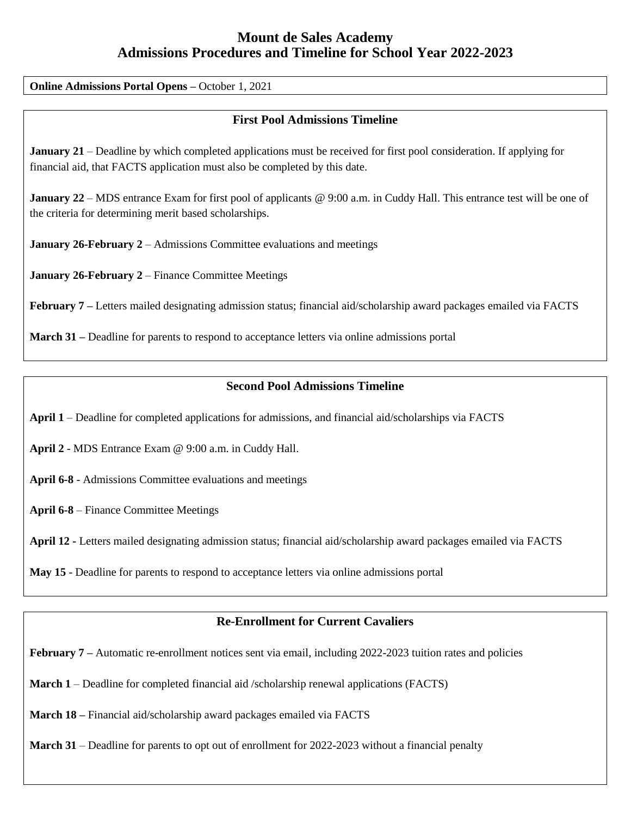# **Mount de Sales Academy Admissions Procedures and Timeline for School Year 2022-2023**

**Online Admissions Portal Opens –** October 1, 2021

#### **First Pool Admissions Timeline**

**January 21** – Deadline by which completed applications must be received for first pool consideration. If applying for financial aid, that FACTS application must also be completed by this date.

**January 22** – MDS entrance Exam for first pool of applicants @ 9:00 a.m. in Cuddy Hall. This entrance test will be one of the criteria for determining merit based scholarships.

**January 26-February 2** – Admissions Committee evaluations and meetings

**January 26-February 2** – Finance Committee Meetings

**February 7 –** Letters mailed designating admission status; financial aid/scholarship award packages emailed via FACTS

**March 31 –** Deadline for parents to respond to acceptance letters via online admissions portal

#### **Second Pool Admissions Timeline**

**April 1** – Deadline for completed applications for admissions, and financial aid/scholarships via FACTS

**April 2** - MDS Entrance Exam @ 9:00 a.m. in Cuddy Hall.

**April 6-8** - Admissions Committee evaluations and meetings

**April 6-8** – Finance Committee Meetings

**April 12 -** Letters mailed designating admission status; financial aid/scholarship award packages emailed via FACTS

**May 15** - Deadline for parents to respond to acceptance letters via online admissions portal

#### **Re-Enrollment for Current Cavaliers**

**February 7** – Automatic re-enrollment notices sent via email, including 2022-2023 tuition rates and policies

**March 1** – Deadline for completed financial aid /scholarship renewal applications (FACTS)

**March 18 –** Financial aid/scholarship award packages emailed via FACTS

**March 31** – Deadline for parents to opt out of enrollment for 2022-2023 without a financial penalty